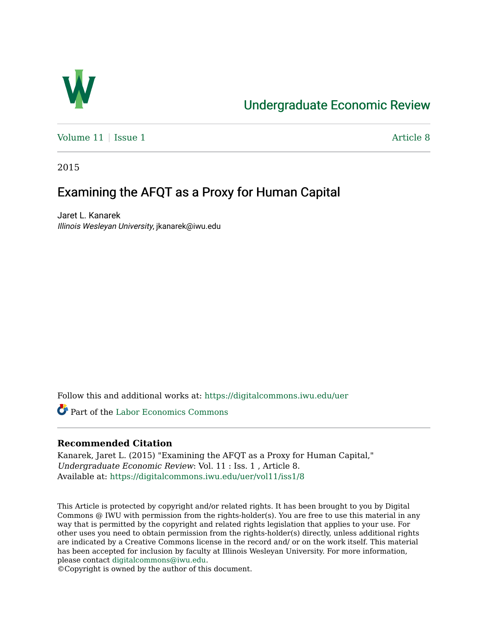

## [Undergraduate Economic Review](https://digitalcommons.iwu.edu/uer)

[Volume 11](https://digitalcommons.iwu.edu/uer/vol11) | [Issue 1](https://digitalcommons.iwu.edu/uer/vol11/iss1) Article 8

2015

# Examining the AFQT as a Proxy for Human Capital

Jaret L. Kanarek Illinois Wesleyan University, jkanarek@iwu.edu

Follow this and additional works at: [https://digitalcommons.iwu.edu/uer](https://digitalcommons.iwu.edu/uer?utm_source=digitalcommons.iwu.edu%2Fuer%2Fvol11%2Fiss1%2F8&utm_medium=PDF&utm_campaign=PDFCoverPages)

Part of the [Labor Economics Commons](http://network.bepress.com/hgg/discipline/349?utm_source=digitalcommons.iwu.edu%2Fuer%2Fvol11%2Fiss1%2F8&utm_medium=PDF&utm_campaign=PDFCoverPages) 

#### **Recommended Citation**

Kanarek, Jaret L. (2015) "Examining the AFQT as a Proxy for Human Capital," Undergraduate Economic Review: Vol. 11 : Iss. 1 , Article 8. Available at: [https://digitalcommons.iwu.edu/uer/vol11/iss1/8](https://digitalcommons.iwu.edu/uer/vol11/iss1/8?utm_source=digitalcommons.iwu.edu%2Fuer%2Fvol11%2Fiss1%2F8&utm_medium=PDF&utm_campaign=PDFCoverPages)

This Article is protected by copyright and/or related rights. It has been brought to you by Digital Commons @ IWU with permission from the rights-holder(s). You are free to use this material in any way that is permitted by the copyright and related rights legislation that applies to your use. For other uses you need to obtain permission from the rights-holder(s) directly, unless additional rights are indicated by a Creative Commons license in the record and/ or on the work itself. This material has been accepted for inclusion by faculty at Illinois Wesleyan University. For more information, please contact [digitalcommons@iwu.edu.](mailto:digitalcommons@iwu.edu)

©Copyright is owned by the author of this document.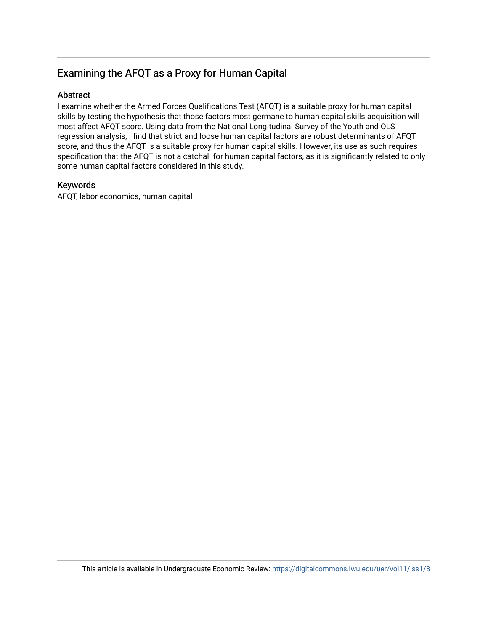## Examining the AFQT as a Proxy for Human Capital

### Abstract

I examine whether the Armed Forces Qualifications Test (AFQT) is a suitable proxy for human capital skills by testing the hypothesis that those factors most germane to human capital skills acquisition will most affect AFQT score. Using data from the National Longitudinal Survey of the Youth and OLS regression analysis, I find that strict and loose human capital factors are robust determinants of AFQT score, and thus the AFQT is a suitable proxy for human capital skills. However, its use as such requires specification that the AFQT is not a catchall for human capital factors, as it is significantly related to only some human capital factors considered in this study.

#### Keywords

AFQT, labor economics, human capital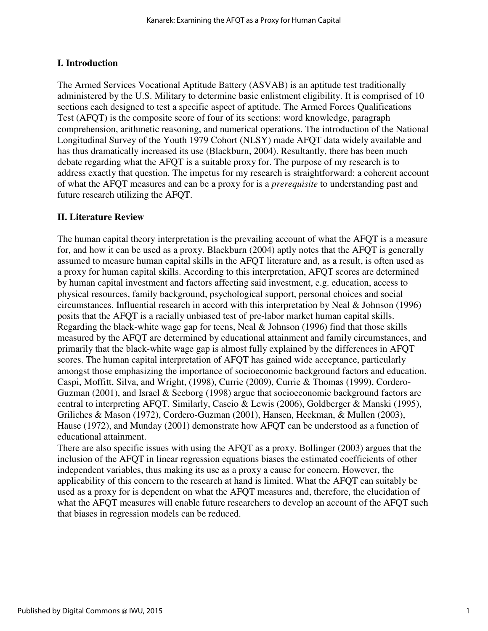## **I. Introduction**

The Armed Services Vocational Aptitude Battery (ASVAB) is an aptitude test traditionally administered by the U.S. Military to determine basic enlistment eligibility. It is comprised of 10 sections each designed to test a specific aspect of aptitude. The Armed Forces Qualifications Test (AFQT) is the composite score of four of its sections: word knowledge, paragraph comprehension, arithmetic reasoning, and numerical operations. The introduction of the National Longitudinal Survey of the Youth 1979 Cohort (NLSY) made AFQT data widely available and has thus dramatically increased its use (Blackburn, 2004). Resultantly, there has been much debate regarding what the AFQT is a suitable proxy for. The purpose of my research is to address exactly that question. The impetus for my research is straightforward: a coherent account of what the AFQT measures and can be a proxy for is a *prerequisite* to understanding past and future research utilizing the AFQT.

## **II. Literature Review**

The human capital theory interpretation is the prevailing account of what the AFQT is a measure for, and how it can be used as a proxy. Blackburn (2004) aptly notes that the AFQT is generally assumed to measure human capital skills in the AFQT literature and, as a result, is often used as a proxy for human capital skills. According to this interpretation, AFQT scores are determined by human capital investment and factors affecting said investment, e.g. education, access to physical resources, family background, psychological support, personal choices and social circumstances. Influential research in accord with this interpretation by Neal & Johnson (1996) posits that the AFQT is a racially unbiased test of pre-labor market human capital skills. Regarding the black-white wage gap for teens, Neal & Johnson (1996) find that those skills measured by the AFQT are determined by educational attainment and family circumstances, and primarily that the black-white wage gap is almost fully explained by the differences in AFQT scores. The human capital interpretation of AFQT has gained wide acceptance, particularly amongst those emphasizing the importance of socioeconomic background factors and education. Caspi, Moffitt, Silva, and Wright, (1998), Currie (2009), Currie & Thomas (1999), Cordero-Guzman (2001), and Israel & Seeborg (1998) argue that socioeconomic background factors are central to interpreting AFQT. Similarly, Cascio & Lewis (2006), Goldberger & Manski (1995), Griliches & Mason (1972), Cordero-Guzman (2001), Hansen, Heckman, & Mullen (2003), Hause (1972), and Munday (2001) demonstrate how AFQT can be understood as a function of educational attainment.

There are also specific issues with using the AFQT as a proxy. Bollinger (2003) argues that the inclusion of the AFQT in linear regression equations biases the estimated coefficients of other independent variables, thus making its use as a proxy a cause for concern. However, the applicability of this concern to the research at hand is limited. What the AFQT can suitably be used as a proxy for is dependent on what the AFQT measures and, therefore, the elucidation of what the AFQT measures will enable future researchers to develop an account of the AFQT such that biases in regression models can be reduced.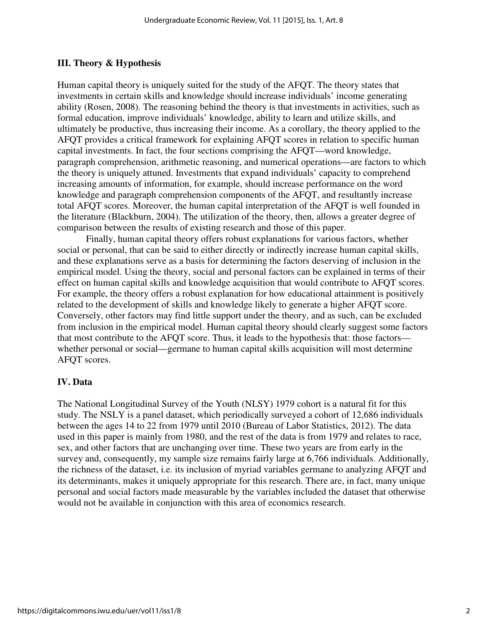## **III. Theory & Hypothesis**

Human capital theory is uniquely suited for the study of the AFQT. The theory states that investments in certain skills and knowledge should increase individuals' income generating ability (Rosen, 2008). The reasoning behind the theory is that investments in activities, such as formal education, improve individuals' knowledge, ability to learn and utilize skills, and ultimately be productive, thus increasing their income. As a corollary, the theory applied to the AFQT provides a critical framework for explaining AFQT scores in relation to specific human capital investments. In fact, the four sections comprising the AFQT—word knowledge, paragraph comprehension, arithmetic reasoning, and numerical operations—are factors to which the theory is uniquely attuned. Investments that expand individuals' capacity to comprehend increasing amounts of information, for example, should increase performance on the word knowledge and paragraph comprehension components of the AFQT, and resultantly increase total AFQT scores. Moreover, the human capital interpretation of the AFQT is well founded in the literature (Blackburn, 2004). The utilization of the theory, then, allows a greater degree of comparison between the results of existing research and those of this paper.

Finally, human capital theory offers robust explanations for various factors, whether social or personal, that can be said to either directly or indirectly increase human capital skills, and these explanations serve as a basis for determining the factors deserving of inclusion in the empirical model. Using the theory, social and personal factors can be explained in terms of their effect on human capital skills and knowledge acquisition that would contribute to AFQT scores. For example, the theory offers a robust explanation for how educational attainment is positively related to the development of skills and knowledge likely to generate a higher AFQT score. Conversely, other factors may find little support under the theory, and as such, can be excluded from inclusion in the empirical model. Human capital theory should clearly suggest some factors that most contribute to the AFQT score. Thus, it leads to the hypothesis that: those factors whether personal or social—germane to human capital skills acquisition will most determine AFQT scores.

## **IV. Data**

The National Longitudinal Survey of the Youth (NLSY) 1979 cohort is a natural fit for this study. The NSLY is a panel dataset, which periodically surveyed a cohort of 12,686 individuals between the ages 14 to 22 from 1979 until 2010 (Bureau of Labor Statistics, 2012). The data used in this paper is mainly from 1980, and the rest of the data is from 1979 and relates to race, sex, and other factors that are unchanging over time. These two years are from early in the survey and, consequently, my sample size remains fairly large at 6,766 individuals. Additionally, the richness of the dataset, i.e. its inclusion of myriad variables germane to analyzing AFQT and its determinants, makes it uniquely appropriate for this research. There are, in fact, many unique personal and social factors made measurable by the variables included the dataset that otherwise would not be available in conjunction with this area of economics research.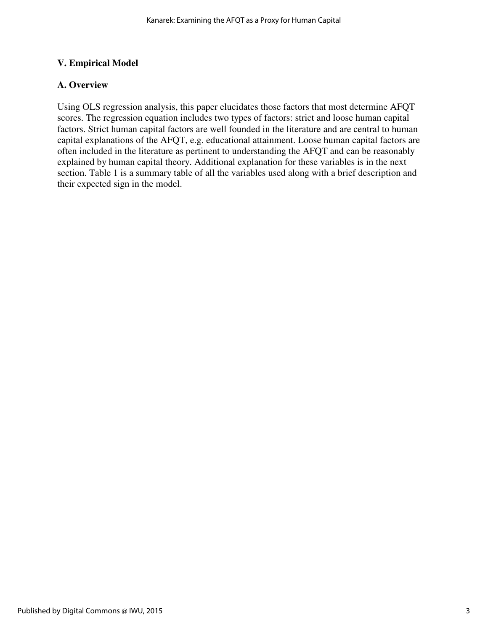## **V. Empirical Model**

## **A. Overview**

Using OLS regression analysis, this paper elucidates those factors that most determine AFQT scores. The regression equation includes two types of factors: strict and loose human capital factors. Strict human capital factors are well founded in the literature and are central to human capital explanations of the AFQT, e.g. educational attainment. Loose human capital factors are often included in the literature as pertinent to understanding the AFQT and can be reasonably explained by human capital theory. Additional explanation for these variables is in the next section. Table 1 is a summary table of all the variables used along with a brief description and their expected sign in the model.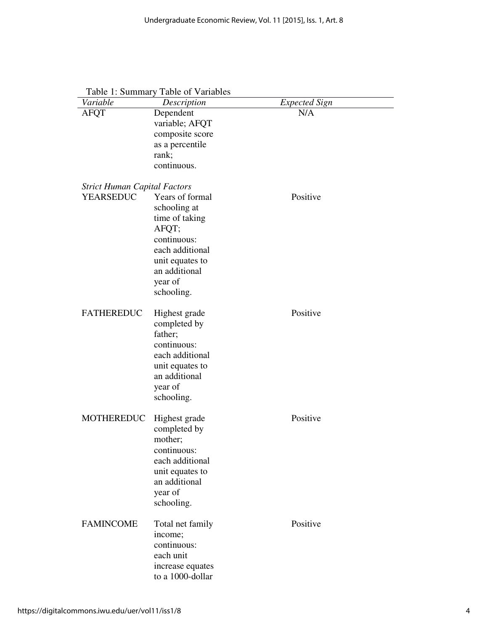| Variable                            | Description                   | <b>Expected Sign</b> |  |
|-------------------------------------|-------------------------------|----------------------|--|
| <b>AFQT</b>                         | Dependent                     | N/A                  |  |
|                                     | variable; AFQT                |                      |  |
|                                     | composite score               |                      |  |
|                                     | as a percentile<br>rank;      |                      |  |
|                                     | continuous.                   |                      |  |
|                                     |                               |                      |  |
| <b>Strict Human Capital Factors</b> |                               |                      |  |
| <b>YEARSEDUC</b>                    | Years of formal               | Positive             |  |
|                                     | schooling at                  |                      |  |
|                                     | time of taking                |                      |  |
|                                     | AFQT;                         |                      |  |
|                                     | continuous:                   |                      |  |
|                                     | each additional               |                      |  |
|                                     | unit equates to               |                      |  |
|                                     | an additional                 |                      |  |
|                                     | year of                       |                      |  |
|                                     | schooling.                    |                      |  |
| <b>FATHEREDUC</b>                   | Highest grade                 | Positive             |  |
|                                     | completed by                  |                      |  |
|                                     | father;                       |                      |  |
|                                     | continuous:                   |                      |  |
|                                     | each additional               |                      |  |
|                                     | unit equates to               |                      |  |
|                                     | an additional                 |                      |  |
|                                     | year of                       |                      |  |
|                                     | schooling.                    |                      |  |
| <b>MOTHEREDUC</b>                   |                               | Positive             |  |
|                                     | Highest grade<br>completed by |                      |  |
|                                     | mother;                       |                      |  |
|                                     | continuous:                   |                      |  |
|                                     | each additional               |                      |  |
|                                     | unit equates to               |                      |  |
|                                     | an additional                 |                      |  |
|                                     | year of                       |                      |  |
|                                     | schooling.                    |                      |  |
|                                     |                               |                      |  |
| <b>FAMINCOME</b>                    | Total net family              | Positive             |  |
|                                     | income;                       |                      |  |
|                                     | continuous:                   |                      |  |
|                                     | each unit                     |                      |  |
|                                     | increase equates              |                      |  |
|                                     | to a 1000-dollar              |                      |  |

Table 1: Summary Table of Variables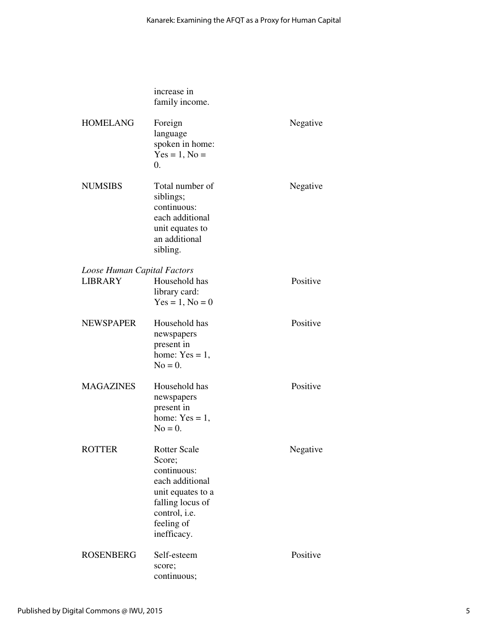|                             | increase in<br>family income.                                                                                                                          |          |
|-----------------------------|--------------------------------------------------------------------------------------------------------------------------------------------------------|----------|
| <b>HOMELANG</b>             | Foreign<br>language<br>spoken in home:<br>$Yes = 1, No =$<br>$\overline{0}$ .                                                                          | Negative |
| <b>NUMSIBS</b>              | Total number of<br>siblings;<br>continuous:<br>each additional<br>unit equates to<br>an additional<br>sibling.                                         | Negative |
| Loose Human Capital Factors |                                                                                                                                                        |          |
| <b>LIBRARY</b>              | Household has<br>library card:<br>$Yes = 1, No = 0$                                                                                                    | Positive |
| <b>NEWSPAPER</b>            | Household has<br>newspapers<br>present in<br>home: $Yes = 1$ ,<br>$No = 0.$                                                                            | Positive |
| <b>MAGAZINES</b>            | Household has<br>newspapers<br>present in<br>home: $Yes = 1$ ,<br>$No = 0.$                                                                            | Positive |
| <b>ROTTER</b>               | <b>Rotter Scale</b><br>Score;<br>continuous:<br>each additional<br>unit equates to a<br>falling locus of<br>control, i.e.<br>feeling of<br>inefficacy. | Negative |
| <b>ROSENBERG</b>            | Self-esteem<br>score;<br>continuous;                                                                                                                   | Positive |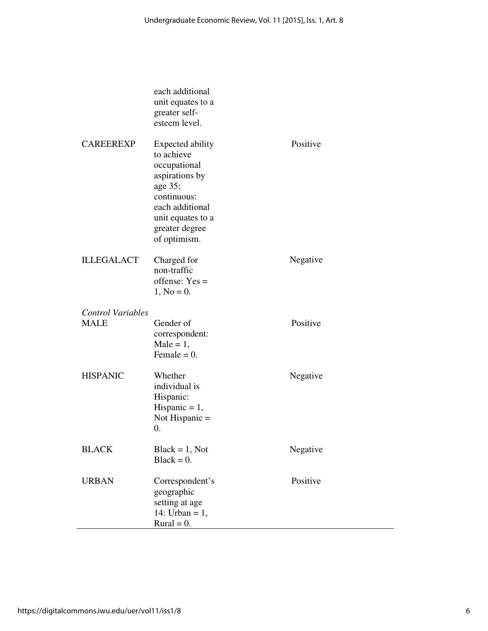|                          | each additional<br>unit equates to a<br>greater self-<br>esteem level.                                                                                                      |          |
|--------------------------|-----------------------------------------------------------------------------------------------------------------------------------------------------------------------------|----------|
| <b>CAREEREXP</b>         | <b>Expected ability</b><br>to achieve<br>occupational<br>aspirations by<br>age 35;<br>continuous:<br>each additional<br>unit equates to a<br>greater degree<br>of optimism. | Positive |
| <b>ILLEGALACT</b>        | Charged for<br>non-traffic<br>offense: $Yes =$<br>$1, No = 0.$                                                                                                              | Negative |
| <b>Control Variables</b> |                                                                                                                                                                             |          |
| <b>MALE</b>              | Gender of<br>correspondent:<br>$Male = 1,$<br>Female = $0$ .                                                                                                                | Positive |
| <b>HISPANIC</b>          | Whether<br>individual is<br>Hispanic:<br>Hispanic = $1$ ,<br>Not Hispanic $=$<br>0.                                                                                         | Negative |
| <b>BLACK</b>             | $Black = 1, Not$<br>$Black = 0.$                                                                                                                                            | Negative |
| <b>URBAN</b>             | Correspondent's<br>geographic<br>setting at age<br>14: Urban = $1$ ,<br>$Rural = 0.$                                                                                        | Positive |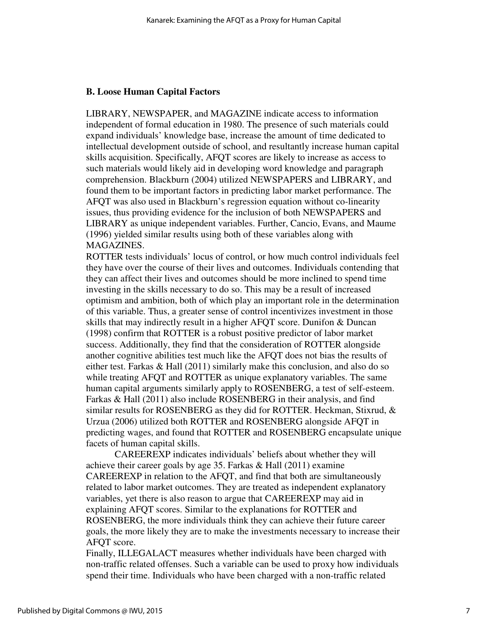#### **B. Loose Human Capital Factors**

LIBRARY, NEWSPAPER, and MAGAZINE indicate access to information independent of formal education in 1980. The presence of such materials could expand individuals' knowledge base, increase the amount of time dedicated to intellectual development outside of school, and resultantly increase human capital skills acquisition. Specifically, AFQT scores are likely to increase as access to such materials would likely aid in developing word knowledge and paragraph comprehension. Blackburn (2004) utilized NEWSPAPERS and LIBRARY, and found them to be important factors in predicting labor market performance. The AFQT was also used in Blackburn's regression equation without co-linearity issues, thus providing evidence for the inclusion of both NEWSPAPERS and LIBRARY as unique independent variables. Further, Cancio, Evans, and Maume (1996) yielded similar results using both of these variables along with MAGAZINES.

ROTTER tests individuals' locus of control, or how much control individuals feel they have over the course of their lives and outcomes. Individuals contending that they can affect their lives and outcomes should be more inclined to spend time investing in the skills necessary to do so. This may be a result of increased optimism and ambition, both of which play an important role in the determination of this variable. Thus, a greater sense of control incentivizes investment in those skills that may indirectly result in a higher AFQT score. Dunifon & Duncan (1998) confirm that ROTTER is a robust positive predictor of labor market success. Additionally, they find that the consideration of ROTTER alongside another cognitive abilities test much like the AFQT does not bias the results of either test. Farkas & Hall (2011) similarly make this conclusion, and also do so while treating AFQT and ROTTER as unique explanatory variables. The same human capital arguments similarly apply to ROSENBERG, a test of self-esteem. Farkas & Hall (2011) also include ROSENBERG in their analysis, and find similar results for ROSENBERG as they did for ROTTER. Heckman, Stixrud, & Urzua (2006) utilized both ROTTER and ROSENBERG alongside AFQT in predicting wages, and found that ROTTER and ROSENBERG encapsulate unique facets of human capital skills.

CAREEREXP indicates individuals' beliefs about whether they will achieve their career goals by age 35. Farkas & Hall (2011) examine CAREEREXP in relation to the AFQT, and find that both are simultaneously related to labor market outcomes. They are treated as independent explanatory variables, yet there is also reason to argue that CAREEREXP may aid in explaining AFQT scores. Similar to the explanations for ROTTER and ROSENBERG, the more individuals think they can achieve their future career goals, the more likely they are to make the investments necessary to increase their AFOT score.

Finally, ILLEGALACT measures whether individuals have been charged with non-traffic related offenses. Such a variable can be used to proxy how individuals spend their time. Individuals who have been charged with a non-traffic related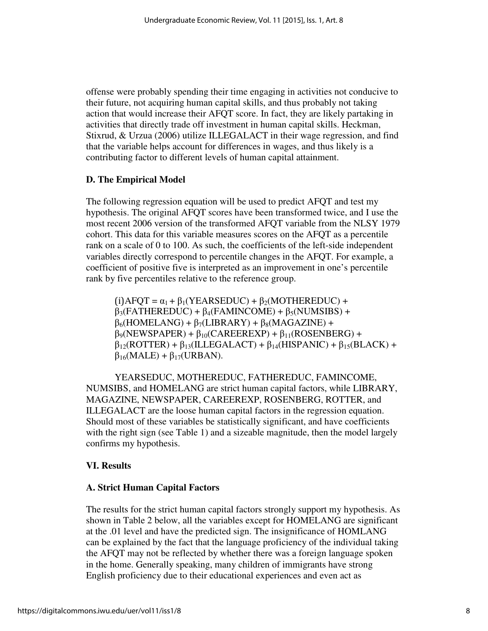offense were probably spending their time engaging in activities not conducive to their future, not acquiring human capital skills, and thus probably not taking action that would increase their AFQT score. In fact, they are likely partaking in activities that directly trade off investment in human capital skills. Heckman, Stixrud, & Urzua (2006) utilize ILLEGALACT in their wage regression, and find that the variable helps account for differences in wages, and thus likely is a contributing factor to different levels of human capital attainment.

#### **D. The Empirical Model**

The following regression equation will be used to predict AFQT and test my hypothesis. The original AFQT scores have been transformed twice, and I use the most recent 2006 version of the transformed AFQT variable from the NLSY 1979 cohort. This data for this variable measures scores on the AFQT as a percentile rank on a scale of 0 to 100. As such, the coefficients of the left-side independent variables directly correspond to percentile changes in the AFQT. For example, a coefficient of positive five is interpreted as an improvement in one's percentile rank by five percentiles relative to the reference group.

 $(i)$ AFQT =  $\alpha_1$  +  $\beta_1$ (YEARSEDUC) +  $\beta_2$ (MOTHEREDUC) +  $\beta_3$ (FATHEREDUC) +  $\beta_4$ (FAMINCOME) +  $\beta_5$ (NUMSIBS) +  $\beta_6$ (HOMELANG) +  $\beta_7$ (LIBRARY) +  $\beta_8$ (MAGAZINE) +  $\beta_9(NEWSPAPER) + \beta_{10}(CAREEREXP) + \beta_{11}(ROSENBERG) +$  $\beta_{12}(ROTTER) + \beta_{13}(ILLEGALACT) + \beta_{14}(HISPANIC) + \beta_{15}(BLACK) +$  $\beta_{16}$ (MALE) +  $\beta_{17}$ (URBAN).

YEARSEDUC, MOTHEREDUC, FATHEREDUC, FAMINCOME, NUMSIBS, and HOMELANG are strict human capital factors, while LIBRARY, MAGAZINE, NEWSPAPER, CAREEREXP, ROSENBERG, ROTTER, and ILLEGALACT are the loose human capital factors in the regression equation. Should most of these variables be statistically significant, and have coefficients with the right sign (see Table 1) and a sizeable magnitude, then the model largely confirms my hypothesis.

#### **VI. Results**

#### **A. Strict Human Capital Factors**

The results for the strict human capital factors strongly support my hypothesis. As shown in Table 2 below, all the variables except for HOMELANG are significant at the .01 level and have the predicted sign. The insignificance of HOMLANG can be explained by the fact that the language proficiency of the individual taking the AFQT may not be reflected by whether there was a foreign language spoken in the home. Generally speaking, many children of immigrants have strong English proficiency due to their educational experiences and even act as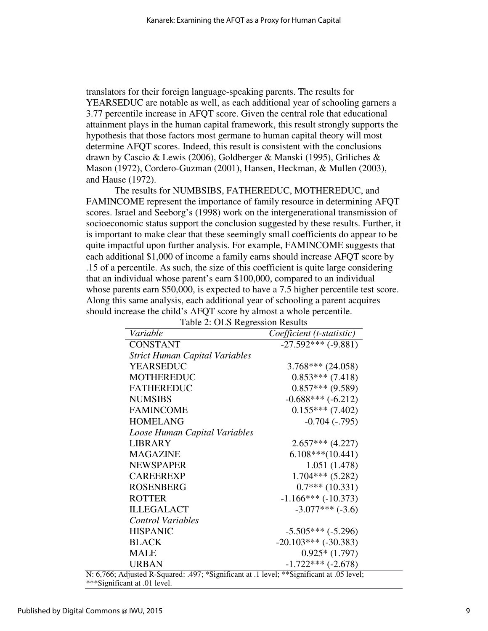translators for their foreign language-speaking parents. The results for YEARSEDUC are notable as well, as each additional year of schooling garners a 3.77 percentile increase in AFQT score. Given the central role that educational attainment plays in the human capital framework, this result strongly supports the hypothesis that those factors most germane to human capital theory will most determine AFQT scores. Indeed, this result is consistent with the conclusions drawn by Cascio & Lewis (2006), Goldberger & Manski (1995), Griliches & Mason (1972), Cordero-Guzman (2001), Hansen, Heckman, & Mullen (2003), and Hause (1972).

The results for NUMBSIBS, FATHEREDUC, MOTHEREDUC, and FAMINCOME represent the importance of family resource in determining AFQT scores. Israel and Seeborg's (1998) work on the intergenerational transmission of socioeconomic status support the conclusion suggested by these results. Further, it is important to make clear that these seemingly small coefficients do appear to be quite impactful upon further analysis. For example, FAMINCOME suggests that each additional \$1,000 of income a family earns should increase AFQT score by .15 of a percentile. As such, the size of this coefficient is quite large considering that an individual whose parent's earn \$100,000, compared to an individual whose parents earn \$50,000, is expected to have a 7.5 higher percentile test score. Along this same analysis, each additional year of schooling a parent acquires should increase the child's AFQT score by almost a whole percentile.

| Table 2: OLS Regression Results                                                                    |                            |
|----------------------------------------------------------------------------------------------------|----------------------------|
| Variable                                                                                           | Coefficient (t-statistic)  |
| <b>CONSTANT</b>                                                                                    | $-27.592***$ (-9.881)      |
| <b>Strict Human Capital Variables</b>                                                              |                            |
| <b>YEARSEDUC</b>                                                                                   | $3.768***$ (24.058)        |
| <b>MOTHEREDUC</b>                                                                                  | $0.853***$ (7.418)         |
| <b>FATHEREDUC</b>                                                                                  | $0.857***$ (9.589)         |
| <b>NUMSIBS</b>                                                                                     | $-0.688***(-6.212)$        |
| <b>FAMINCOME</b>                                                                                   | $0.155***$ (7.402)         |
| <b>HOMELANG</b>                                                                                    | $-0.704$ $(-.795)$         |
| Loose Human Capital Variables                                                                      |                            |
| <b>LIBRARY</b>                                                                                     | $2.657***$ (4.227)         |
| <b>MAGAZINE</b>                                                                                    | $6.108***(10.441)$         |
| <b>NEWSPAPER</b>                                                                                   | 1.051(1.478)               |
| <b>CAREEREXP</b>                                                                                   | $1.704***$ (5.282)         |
| <b>ROSENBERG</b>                                                                                   | $0.7***(10.331)$           |
| <b>ROTTER</b>                                                                                      | $-1.166***(-10.373)$       |
| <b>ILLEGALACT</b>                                                                                  | $-3.077***(-3.6)$          |
| <b>Control Variables</b>                                                                           |                            |
| <b>HISPANIC</b>                                                                                    | $-5.505***(-5.296)$        |
| <b>BLACK</b>                                                                                       | $-20.103***$ ( $-30.383$ ) |
| <b>MALE</b>                                                                                        | $0.925*(1.797)$            |
| <b>URBAN</b><br>5; Adjusted R-Squared: .497; *Significant at .1 level; **Significant at .05 level; | $-1.722***(-2.678)$        |

Table 2: 01 S. Regression Results

N: 6,766; Adjusted R-Squared: .497; \*Significant at .1 level; \*\*Significant at .05 level; \*\*\*Significant at .01 level.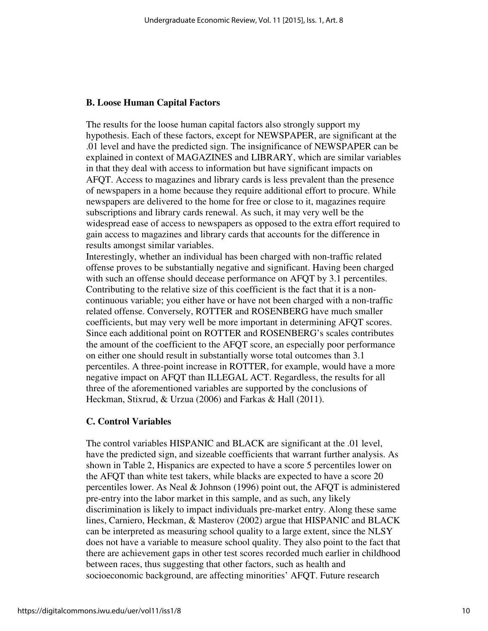#### **B. Loose Human Capital Factors**

The results for the loose human capital factors also strongly support my hypothesis. Each of these factors, except for NEWSPAPER, are significant at the .01 level and have the predicted sign. The insignificance of NEWSPAPER can be explained in context of MAGAZINES and LIBRARY, which are similar variables in that they deal with access to information but have significant impacts on AFQT. Access to magazines and library cards is less prevalent than the presence of newspapers in a home because they require additional effort to procure. While newspapers are delivered to the home for free or close to it, magazines require subscriptions and library cards renewal. As such, it may very well be the widespread ease of access to newspapers as opposed to the extra effort required to gain access to magazines and library cards that accounts for the difference in results amongst similar variables.

Interestingly, whether an individual has been charged with non-traffic related offense proves to be substantially negative and significant. Having been charged with such an offense should decease performance on AFQT by 3.1 percentiles. Contributing to the relative size of this coefficient is the fact that it is a noncontinuous variable; you either have or have not been charged with a non-traffic related offense. Conversely, ROTTER and ROSENBERG have much smaller coefficients, but may very well be more important in determining AFQT scores. Since each additional point on ROTTER and ROSENBERG's scales contributes the amount of the coefficient to the AFQT score, an especially poor performance on either one should result in substantially worse total outcomes than 3.1 percentiles. A three-point increase in ROTTER, for example, would have a more negative impact on AFQT than ILLEGAL ACT. Regardless, the results for all three of the aforementioned variables are supported by the conclusions of Heckman, Stixrud, & Urzua (2006) and Farkas & Hall (2011).

#### **C. Control Variables**

The control variables HISPANIC and BLACK are significant at the .01 level, have the predicted sign, and sizeable coefficients that warrant further analysis. As shown in Table 2, Hispanics are expected to have a score 5 percentiles lower on the AFQT than white test takers, while blacks are expected to have a score 20 percentiles lower. As Neal & Johnson (1996) point out, the AFQT is administered pre-entry into the labor market in this sample, and as such, any likely discrimination is likely to impact individuals pre-market entry. Along these same lines, Carniero, Heckman, & Masterov (2002) argue that HISPANIC and BLACK can be interpreted as measuring school quality to a large extent, since the NLSY does not have a variable to measure school quality. They also point to the fact that there are achievement gaps in other test scores recorded much earlier in childhood between races, thus suggesting that other factors, such as health and socioeconomic background, are affecting minorities' AFQT. Future research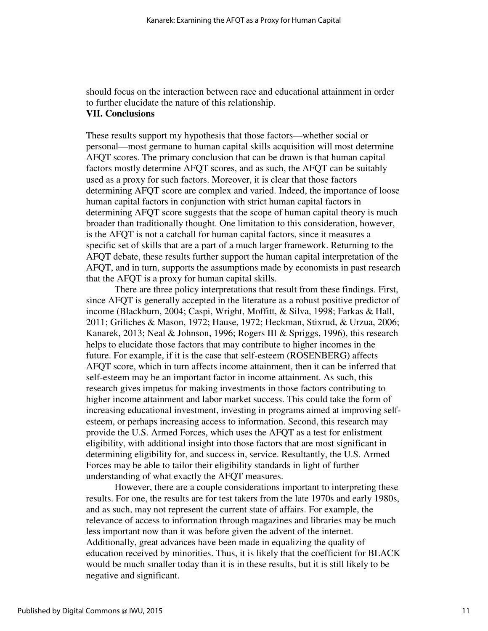should focus on the interaction between race and educational attainment in order to further elucidate the nature of this relationship. **VII. Conclusions**

These results support my hypothesis that those factors—whether social or personal—most germane to human capital skills acquisition will most determine AFQT scores. The primary conclusion that can be drawn is that human capital factors mostly determine AFQT scores, and as such, the AFQT can be suitably used as a proxy for such factors. Moreover, it is clear that those factors determining AFQT score are complex and varied. Indeed, the importance of loose human capital factors in conjunction with strict human capital factors in determining AFQT score suggests that the scope of human capital theory is much broader than traditionally thought. One limitation to this consideration, however, is the AFQT is not a catchall for human capital factors, since it measures a specific set of skills that are a part of a much larger framework. Returning to the AFQT debate, these results further support the human capital interpretation of the AFQT, and in turn, supports the assumptions made by economists in past research that the AFQT is a proxy for human capital skills.

There are three policy interpretations that result from these findings. First, since AFQT is generally accepted in the literature as a robust positive predictor of income (Blackburn, 2004; Caspi, Wright, Moffitt, & Silva, 1998; Farkas & Hall, 2011; Griliches & Mason, 1972; Hause, 1972; Heckman, Stixrud, & Urzua, 2006; Kanarek, 2013; Neal & Johnson, 1996; Rogers III & Spriggs, 1996), this research helps to elucidate those factors that may contribute to higher incomes in the future. For example, if it is the case that self-esteem (ROSENBERG) affects AFQT score, which in turn affects income attainment, then it can be inferred that self-esteem may be an important factor in income attainment. As such, this research gives impetus for making investments in those factors contributing to higher income attainment and labor market success. This could take the form of increasing educational investment, investing in programs aimed at improving selfesteem, or perhaps increasing access to information. Second, this research may provide the U.S. Armed Forces, which uses the AFQT as a test for enlistment eligibility, with additional insight into those factors that are most significant in determining eligibility for, and success in, service. Resultantly, the U.S. Armed Forces may be able to tailor their eligibility standards in light of further understanding of what exactly the AFQT measures.

However, there are a couple considerations important to interpreting these results. For one, the results are for test takers from the late 1970s and early 1980s, and as such, may not represent the current state of affairs. For example, the relevance of access to information through magazines and libraries may be much less important now than it was before given the advent of the internet. Additionally, great advances have been made in equalizing the quality of education received by minorities. Thus, it is likely that the coefficient for BLACK would be much smaller today than it is in these results, but it is still likely to be negative and significant.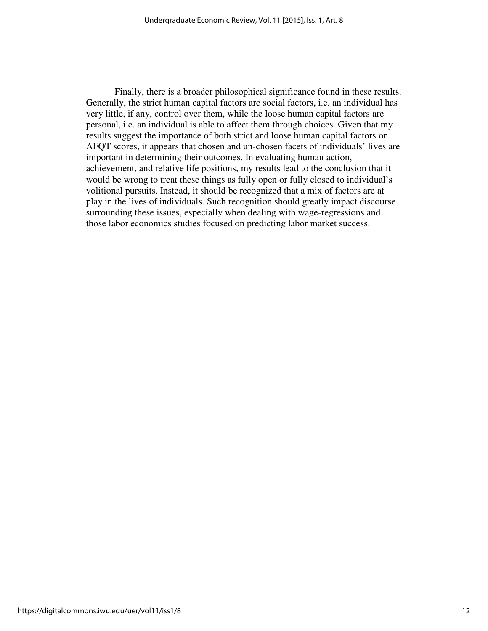Finally, there is a broader philosophical significance found in these results. Generally, the strict human capital factors are social factors, i.e. an individual has very little, if any, control over them, while the loose human capital factors are personal, i.e. an individual is able to affect them through choices. Given that my results suggest the importance of both strict and loose human capital factors on AFQT scores, it appears that chosen and un-chosen facets of individuals' lives are important in determining their outcomes. In evaluating human action, achievement, and relative life positions, my results lead to the conclusion that it would be wrong to treat these things as fully open or fully closed to individual's volitional pursuits. Instead, it should be recognized that a mix of factors are at play in the lives of individuals. Such recognition should greatly impact discourse surrounding these issues, especially when dealing with wage-regressions and those labor economics studies focused on predicting labor market success.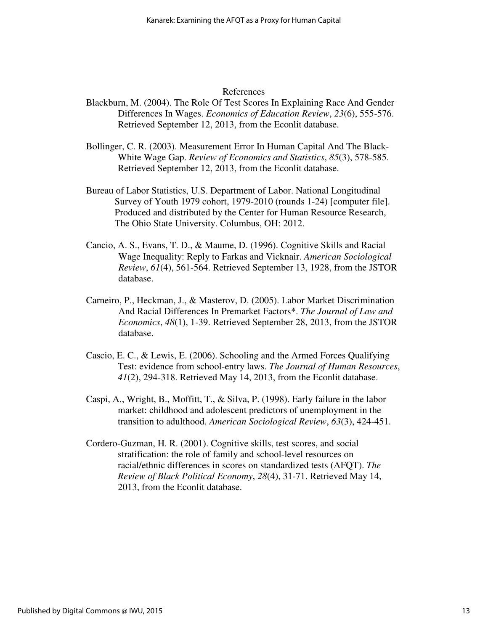#### References

- Blackburn, M. (2004). The Role Of Test Scores In Explaining Race And Gender Differences In Wages. *Economics of Education Review*, *23*(6), 555-576. Retrieved September 12, 2013, from the Econlit database.
- Bollinger, C. R. (2003). Measurement Error In Human Capital And The Black-White Wage Gap. *Review of Economics and Statistics*, *85*(3), 578-585. Retrieved September 12, 2013, from the Econlit database.
- Bureau of Labor Statistics, U.S. Department of Labor. National Longitudinal Survey of Youth 1979 cohort, 1979-2010 (rounds 1-24) [computer file]. Produced and distributed by the Center for Human Resource Research, The Ohio State University. Columbus, OH: 2012.
- Cancio, A. S., Evans, T. D., & Maume, D. (1996). Cognitive Skills and Racial Wage Inequality: Reply to Farkas and Vicknair. *American Sociological Review*, *61*(4), 561-564. Retrieved September 13, 1928, from the JSTOR database.
- Carneiro, P., Heckman, J., & Masterov, D. (2005). Labor Market Discrimination And Racial Differences In Premarket Factors\*. *The Journal of Law and Economics*, *48*(1), 1-39. Retrieved September 28, 2013, from the JSTOR database.
- Cascio, E. C., & Lewis, E. (2006). Schooling and the Armed Forces Qualifying Test: evidence from school-entry laws. *The Journal of Human Resources*, *41*(2), 294-318. Retrieved May 14, 2013, from the Econlit database.
- Caspi, A., Wright, B., Moffitt, T., & Silva, P. (1998). Early failure in the labor market: childhood and adolescent predictors of unemployment in the transition to adulthood. *American Sociological Review*, *63*(3), 424-451.
- Cordero-Guzman, H. R. (2001). Cognitive skills, test scores, and social stratification: the role of family and school-level resources on racial/ethnic differences in scores on standardized tests (AFQT). *The Review of Black Political Economy*, *28*(4), 31-71. Retrieved May 14, 2013, from the Econlit database.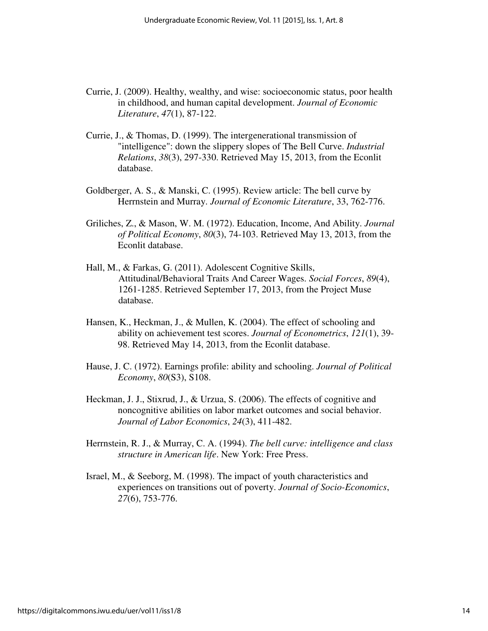- Currie, J. (2009). Healthy, wealthy, and wise: socioeconomic status, poor health in childhood, and human capital development. *Journal of Economic Literature*, *47*(1), 87-122.
- Currie, J., & Thomas, D. (1999). The intergenerational transmission of "intelligence": down the slippery slopes of The Bell Curve. *Industrial Relations*, *38*(3), 297-330. Retrieved May 15, 2013, from the Econlit database.
- Goldberger, A. S., & Manski, C. (1995). Review article: The bell curve by Herrnstein and Murray. *Journal of Economic Literature*, 33, 762-776.
- Griliches, Z., & Mason, W. M. (1972). Education, Income, And Ability. *Journal of Political Economy*, *80*(3), 74-103. Retrieved May 13, 2013, from the Econlit database.
- Hall, M., & Farkas, G. (2011). Adolescent Cognitive Skills, Attitudinal/Behavioral Traits And Career Wages. *Social Forces*, *89*(4), 1261-1285. Retrieved September 17, 2013, from the Project Muse database.
- Hansen, K., Heckman, J., & Mullen, K. (2004). The effect of schooling and ability on achievement test scores. *Journal of Econometrics*, *121*(1), 39- 98. Retrieved May 14, 2013, from the Econlit database.
- Hause, J. C. (1972). Earnings profile: ability and schooling. *Journal of Political Economy*, *80*(S3), S108.
- Heckman, J. J., Stixrud, J., & Urzua, S. (2006). The effects of cognitive and noncognitive abilities on labor market outcomes and social behavior. *Journal of Labor Economics*, *24*(3), 411-482.
- Herrnstein, R. J., & Murray, C. A. (1994). *The bell curve: intelligence and class structure in American life*. New York: Free Press.
- Israel, M., & Seeborg, M. (1998). The impact of youth characteristics and experiences on transitions out of poverty. *Journal of Socio-Economics*, *27*(6), 753-776.